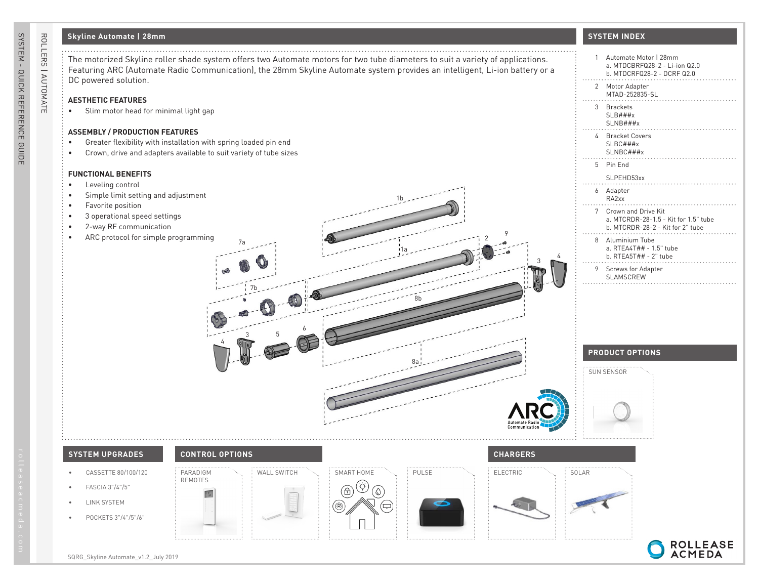# **Skyline Automate | 28mm**

### **AESTHETIC FEATURES**

### **ASSEMBLY / PRODUCTION FEATURES**

- Greater flexibility with installation with spring loaded pin end
- Crown, drive and adapters available to suit variety of tube sizes

#### **FUNCTIONAL BENEFITS**

- Leveling control
- Simple limit setting and adjustment
- Favorite position
- 3 operational speed settings
- 2-way RF communication
- ARC protocol for simple programming

## **SYSTEM INDEX**

| The motorized Skyline roller shade system offers two Automate motors for two tube diameters to suit a variety of applications.<br>Featuring ARC (Automate Radio Communication), the 28mm Skyline Automate system provides an intelligent, Li-ion battery or a<br>DC powered solution. | 1 Automate Motor   28mm<br>a. MTDCBRFQ28-2 - Li-ion Q2.0<br>b. MTDCRFQ28-2 - DCRF Q2.0                                                      |
|---------------------------------------------------------------------------------------------------------------------------------------------------------------------------------------------------------------------------------------------------------------------------------------|---------------------------------------------------------------------------------------------------------------------------------------------|
| <b>AESTHETIC FEATURES</b><br>Slim motor head for minimal light gap<br>٠                                                                                                                                                                                                               | 2 Motor Adapter<br>MTAD-252835-SL<br>3 Brackets<br>SLB###x                                                                                  |
| <b>ASSEMBLY / PRODUCTION FEATURES</b><br>Greater flexibility with installation with spring loaded pin end<br>$\bullet$<br>Crown, drive and adapters available to suit variety of tube sizes<br>٠                                                                                      | SLNB###x<br>4 Bracket Covers<br>SLBC###x<br>SLNBC###x                                                                                       |
| <b>FUNCTIONAL BENEFITS</b><br>Leveling control                                                                                                                                                                                                                                        | 5 Pin End<br>SLPEHD53xx                                                                                                                     |
| Simple limit setting and adjustment<br>Favorite position<br>3 operational speed settings<br>2-way RF communication<br>ARC protocol for simple programming                                                                                                                             | 6 Adapter<br>RA2xx<br>7 Crown and Drive Kit<br>a. MTCRDR-28-1.5 - Kit for 1.5" tube<br>b. MTCRDR-28-2 - Kit for 2" tube<br>8 Aluminium Tube |
|                                                                                                                                                                                                                                                                                       | a. RTEA4T## - 1.5" tube<br>b. RTEA5T## - $2"$ tube<br>9 Screws for Adapter<br>SLAMSCREW                                                     |
|                                                                                                                                                                                                                                                                                       | <b>PRODUCT OPTIONS</b>                                                                                                                      |
|                                                                                                                                                                                                                                                                                       | SUN SENSOR                                                                                                                                  |
| <b>CONTROL OPTIONS</b><br><b>CHARGERS</b><br><b>SYSTEM UPGRADES</b>                                                                                                                                                                                                                   |                                                                                                                                             |
| WALL SWITCH<br>PULSE<br>ELECTRIC<br>CASSETTE 80/100/120<br>PARADIGM<br>SMART HOME<br><b>REMOTES</b><br>◈<br>FASCIA 3"/4"/5"<br>٠<br>$\circledA$<br>$(\delta)$<br>TS.<br>LINK SYSTEM<br>۵<br>$(\rightleftarrows)$<br>POCKETS 3"/4"/5"/6"                                               | SOLAR                                                                                                                                       |
| SQRG_Skyline Automate_v1.2_July 2019                                                                                                                                                                                                                                                  | ROLLEASE<br>ACMEDA                                                                                                                          |

ROLLERS | AUTOMATE

ROLLERS | AUTOMATE